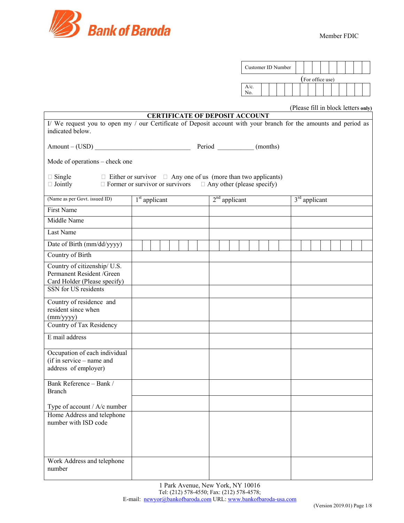

| Customer ID Number |  |  |                  |  |  |  |  |
|--------------------|--|--|------------------|--|--|--|--|
|                    |  |  | (For office use) |  |  |  |  |
| $A/c$ .<br>No.     |  |  |                  |  |  |  |  |

# (Please fill in block letters **only)**

|                                                                                                                                      |                                                                                                                                                       | <b>CERTIFICATE OF DEPOSIT ACCOUNT</b> |  |                 |  |  |  |  |  |
|--------------------------------------------------------------------------------------------------------------------------------------|-------------------------------------------------------------------------------------------------------------------------------------------------------|---------------------------------------|--|-----------------|--|--|--|--|--|
| I/ We request you to open my / our Certificate of Deposit account with your branch for the amounts and period as<br>indicated below. |                                                                                                                                                       |                                       |  |                 |  |  |  |  |  |
|                                                                                                                                      | Amount – (USD) Period Meridian (months)                                                                                                               |                                       |  |                 |  |  |  |  |  |
| Mode of operations – check one                                                                                                       |                                                                                                                                                       |                                       |  |                 |  |  |  |  |  |
| $\Box$ Single<br>$\Box$ Jointly                                                                                                      | $\Box$ Either or survivor $\Box$ Any one of us (more than two applicants)<br>$\Box$ Former or survivor or survivors $\Box$ Any other (please specify) |                                       |  |                 |  |  |  |  |  |
| (Name as per Govt. issued ID)                                                                                                        | $1st$ applicant                                                                                                                                       | $2nd$ applicant                       |  | $3rd$ applicant |  |  |  |  |  |
| First Name                                                                                                                           |                                                                                                                                                       |                                       |  |                 |  |  |  |  |  |
| Middle Name                                                                                                                          |                                                                                                                                                       |                                       |  |                 |  |  |  |  |  |
| Last Name                                                                                                                            |                                                                                                                                                       |                                       |  |                 |  |  |  |  |  |
| Date of Birth (mm/dd/yyyy)                                                                                                           |                                                                                                                                                       |                                       |  |                 |  |  |  |  |  |
| Country of Birth                                                                                                                     |                                                                                                                                                       |                                       |  |                 |  |  |  |  |  |
| Country of citizenship/ U.S.<br>Permanent Resident /Green<br>Card Holder (Please specify)<br>SSN for US residents                    |                                                                                                                                                       |                                       |  |                 |  |  |  |  |  |
| Country of residence and<br>resident since when<br>(mm/yyyy)<br>Country of Tax Residency                                             |                                                                                                                                                       |                                       |  |                 |  |  |  |  |  |
| E mail address                                                                                                                       |                                                                                                                                                       |                                       |  |                 |  |  |  |  |  |
|                                                                                                                                      |                                                                                                                                                       |                                       |  |                 |  |  |  |  |  |
| Occupation of each individual<br>(if in service – name and<br>address of employer)                                                   |                                                                                                                                                       |                                       |  |                 |  |  |  |  |  |
| Bank Reference - Bank /<br><b>Branch</b>                                                                                             |                                                                                                                                                       |                                       |  |                 |  |  |  |  |  |
| Type of account / A/c number                                                                                                         |                                                                                                                                                       |                                       |  |                 |  |  |  |  |  |
| Home Address and telephone<br>number with ISD code                                                                                   |                                                                                                                                                       |                                       |  |                 |  |  |  |  |  |
| Work Address and telephone<br>number                                                                                                 |                                                                                                                                                       |                                       |  |                 |  |  |  |  |  |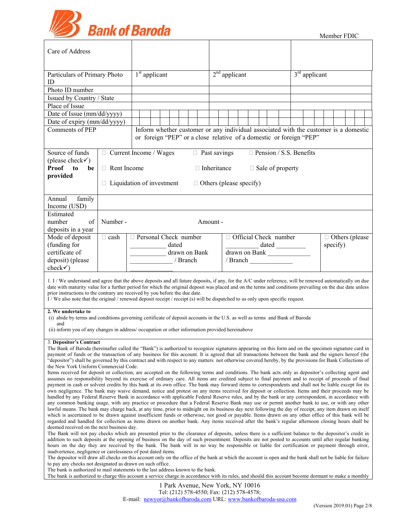

| Care of Address                                                                                                                                                                                                                                                                                                                                                                                                                                                                                                                                                                                                                                                                                                                                                                                                                                                                                                                                                                                                                                                                                                                                                                                                                                                                                                                                                                                                                                                                                                                                                                                                                          |                                                                                                                                                                                                                                                                                                                                                                                                                                                                                                                                                                                                                                                                                                                                                                                                                        |                         |  |       |          |                                                                                      |                    |  |                         |  |  |                 |                                |  |                                   |  |  |  |  |  |
|------------------------------------------------------------------------------------------------------------------------------------------------------------------------------------------------------------------------------------------------------------------------------------------------------------------------------------------------------------------------------------------------------------------------------------------------------------------------------------------------------------------------------------------------------------------------------------------------------------------------------------------------------------------------------------------------------------------------------------------------------------------------------------------------------------------------------------------------------------------------------------------------------------------------------------------------------------------------------------------------------------------------------------------------------------------------------------------------------------------------------------------------------------------------------------------------------------------------------------------------------------------------------------------------------------------------------------------------------------------------------------------------------------------------------------------------------------------------------------------------------------------------------------------------------------------------------------------------------------------------------------------|------------------------------------------------------------------------------------------------------------------------------------------------------------------------------------------------------------------------------------------------------------------------------------------------------------------------------------------------------------------------------------------------------------------------------------------------------------------------------------------------------------------------------------------------------------------------------------------------------------------------------------------------------------------------------------------------------------------------------------------------------------------------------------------------------------------------|-------------------------|--|-------|----------|--------------------------------------------------------------------------------------|--------------------|--|-------------------------|--|--|-----------------|--------------------------------|--|-----------------------------------|--|--|--|--|--|
| Particulars of Primary Photo<br>ID                                                                                                                                                                                                                                                                                                                                                                                                                                                                                                                                                                                                                                                                                                                                                                                                                                                                                                                                                                                                                                                                                                                                                                                                                                                                                                                                                                                                                                                                                                                                                                                                       | $1st$ applicant                                                                                                                                                                                                                                                                                                                                                                                                                                                                                                                                                                                                                                                                                                                                                                                                        |                         |  |       |          | $2nd$ applicant                                                                      |                    |  |                         |  |  | $3rd$ applicant |                                |  |                                   |  |  |  |  |  |
| Photo ID number                                                                                                                                                                                                                                                                                                                                                                                                                                                                                                                                                                                                                                                                                                                                                                                                                                                                                                                                                                                                                                                                                                                                                                                                                                                                                                                                                                                                                                                                                                                                                                                                                          |                                                                                                                                                                                                                                                                                                                                                                                                                                                                                                                                                                                                                                                                                                                                                                                                                        |                         |  |       |          |                                                                                      |                    |  |                         |  |  |                 |                                |  |                                   |  |  |  |  |  |
| Issued by Country / State                                                                                                                                                                                                                                                                                                                                                                                                                                                                                                                                                                                                                                                                                                                                                                                                                                                                                                                                                                                                                                                                                                                                                                                                                                                                                                                                                                                                                                                                                                                                                                                                                |                                                                                                                                                                                                                                                                                                                                                                                                                                                                                                                                                                                                                                                                                                                                                                                                                        |                         |  |       |          |                                                                                      |                    |  |                         |  |  |                 |                                |  |                                   |  |  |  |  |  |
| Place of Issue                                                                                                                                                                                                                                                                                                                                                                                                                                                                                                                                                                                                                                                                                                                                                                                                                                                                                                                                                                                                                                                                                                                                                                                                                                                                                                                                                                                                                                                                                                                                                                                                                           |                                                                                                                                                                                                                                                                                                                                                                                                                                                                                                                                                                                                                                                                                                                                                                                                                        |                         |  |       |          |                                                                                      |                    |  |                         |  |  |                 |                                |  |                                   |  |  |  |  |  |
|                                                                                                                                                                                                                                                                                                                                                                                                                                                                                                                                                                                                                                                                                                                                                                                                                                                                                                                                                                                                                                                                                                                                                                                                                                                                                                                                                                                                                                                                                                                                                                                                                                          |                                                                                                                                                                                                                                                                                                                                                                                                                                                                                                                                                                                                                                                                                                                                                                                                                        |                         |  |       |          |                                                                                      |                    |  |                         |  |  |                 |                                |  |                                   |  |  |  |  |  |
| Date of Issue (mm/dd/yyyy)                                                                                                                                                                                                                                                                                                                                                                                                                                                                                                                                                                                                                                                                                                                                                                                                                                                                                                                                                                                                                                                                                                                                                                                                                                                                                                                                                                                                                                                                                                                                                                                                               |                                                                                                                                                                                                                                                                                                                                                                                                                                                                                                                                                                                                                                                                                                                                                                                                                        |                         |  |       |          |                                                                                      |                    |  |                         |  |  |                 |                                |  |                                   |  |  |  |  |  |
| Date of expiry (mm/dd/yyyy)<br>Comments of PEP                                                                                                                                                                                                                                                                                                                                                                                                                                                                                                                                                                                                                                                                                                                                                                                                                                                                                                                                                                                                                                                                                                                                                                                                                                                                                                                                                                                                                                                                                                                                                                                           |                                                                                                                                                                                                                                                                                                                                                                                                                                                                                                                                                                                                                                                                                                                                                                                                                        |                         |  |       |          | Inform whether customer or any individual associated with the customer is a domestic |                    |  |                         |  |  |                 |                                |  |                                   |  |  |  |  |  |
|                                                                                                                                                                                                                                                                                                                                                                                                                                                                                                                                                                                                                                                                                                                                                                                                                                                                                                                                                                                                                                                                                                                                                                                                                                                                                                                                                                                                                                                                                                                                                                                                                                          |                                                                                                                                                                                                                                                                                                                                                                                                                                                                                                                                                                                                                                                                                                                                                                                                                        |                         |  |       |          | or foreign "PEP" or a close relative of a domestic or foreign "PEP"                  |                    |  |                         |  |  |                 |                                |  |                                   |  |  |  |  |  |
|                                                                                                                                                                                                                                                                                                                                                                                                                                                                                                                                                                                                                                                                                                                                                                                                                                                                                                                                                                                                                                                                                                                                                                                                                                                                                                                                                                                                                                                                                                                                                                                                                                          |                                                                                                                                                                                                                                                                                                                                                                                                                                                                                                                                                                                                                                                                                                                                                                                                                        |                         |  |       |          |                                                                                      |                    |  |                         |  |  |                 |                                |  |                                   |  |  |  |  |  |
| Source of funds                                                                                                                                                                                                                                                                                                                                                                                                                                                                                                                                                                                                                                                                                                                                                                                                                                                                                                                                                                                                                                                                                                                                                                                                                                                                                                                                                                                                                                                                                                                                                                                                                          | $\Box$ Current Income / Wages                                                                                                                                                                                                                                                                                                                                                                                                                                                                                                                                                                                                                                                                                                                                                                                          |                         |  |       |          | $\Box$ Past savings                                                                  |                    |  |                         |  |  |                 | $\Box$ Pension / S.S. Benefits |  |                                   |  |  |  |  |  |
| (please check $\checkmark$ )                                                                                                                                                                                                                                                                                                                                                                                                                                                                                                                                                                                                                                                                                                                                                                                                                                                                                                                                                                                                                                                                                                                                                                                                                                                                                                                                                                                                                                                                                                                                                                                                             |                                                                                                                                                                                                                                                                                                                                                                                                                                                                                                                                                                                                                                                                                                                                                                                                                        |                         |  |       |          |                                                                                      |                    |  |                         |  |  |                 |                                |  |                                   |  |  |  |  |  |
| <b>Proof</b><br>to<br>be                                                                                                                                                                                                                                                                                                                                                                                                                                                                                                                                                                                                                                                                                                                                                                                                                                                                                                                                                                                                                                                                                                                                                                                                                                                                                                                                                                                                                                                                                                                                                                                                                 | $\Box$ Rent Income                                                                                                                                                                                                                                                                                                                                                                                                                                                                                                                                                                                                                                                                                                                                                                                                     |                         |  |       |          |                                                                                      | $\Box$ Inheritance |  |                         |  |  |                 | $\Box$ Sale of property        |  |                                   |  |  |  |  |  |
| provided                                                                                                                                                                                                                                                                                                                                                                                                                                                                                                                                                                                                                                                                                                                                                                                                                                                                                                                                                                                                                                                                                                                                                                                                                                                                                                                                                                                                                                                                                                                                                                                                                                 |                                                                                                                                                                                                                                                                                                                                                                                                                                                                                                                                                                                                                                                                                                                                                                                                                        |                         |  |       |          |                                                                                      |                    |  |                         |  |  |                 |                                |  |                                   |  |  |  |  |  |
|                                                                                                                                                                                                                                                                                                                                                                                                                                                                                                                                                                                                                                                                                                                                                                                                                                                                                                                                                                                                                                                                                                                                                                                                                                                                                                                                                                                                                                                                                                                                                                                                                                          | $\Box$ Liquidation of investment                                                                                                                                                                                                                                                                                                                                                                                                                                                                                                                                                                                                                                                                                                                                                                                       |                         |  |       |          | $\Box$ Others (please specify)                                                       |                    |  |                         |  |  |                 |                                |  |                                   |  |  |  |  |  |
|                                                                                                                                                                                                                                                                                                                                                                                                                                                                                                                                                                                                                                                                                                                                                                                                                                                                                                                                                                                                                                                                                                                                                                                                                                                                                                                                                                                                                                                                                                                                                                                                                                          |                                                                                                                                                                                                                                                                                                                                                                                                                                                                                                                                                                                                                                                                                                                                                                                                                        |                         |  |       |          |                                                                                      |                    |  |                         |  |  |                 |                                |  |                                   |  |  |  |  |  |
| family<br>Annual                                                                                                                                                                                                                                                                                                                                                                                                                                                                                                                                                                                                                                                                                                                                                                                                                                                                                                                                                                                                                                                                                                                                                                                                                                                                                                                                                                                                                                                                                                                                                                                                                         |                                                                                                                                                                                                                                                                                                                                                                                                                                                                                                                                                                                                                                                                                                                                                                                                                        |                         |  |       |          |                                                                                      |                    |  |                         |  |  |                 |                                |  |                                   |  |  |  |  |  |
| Income (USD)                                                                                                                                                                                                                                                                                                                                                                                                                                                                                                                                                                                                                                                                                                                                                                                                                                                                                                                                                                                                                                                                                                                                                                                                                                                                                                                                                                                                                                                                                                                                                                                                                             |                                                                                                                                                                                                                                                                                                                                                                                                                                                                                                                                                                                                                                                                                                                                                                                                                        |                         |  |       |          |                                                                                      |                    |  |                         |  |  |                 |                                |  |                                   |  |  |  |  |  |
| Estimated                                                                                                                                                                                                                                                                                                                                                                                                                                                                                                                                                                                                                                                                                                                                                                                                                                                                                                                                                                                                                                                                                                                                                                                                                                                                                                                                                                                                                                                                                                                                                                                                                                |                                                                                                                                                                                                                                                                                                                                                                                                                                                                                                                                                                                                                                                                                                                                                                                                                        |                         |  |       |          |                                                                                      |                    |  |                         |  |  |                 |                                |  |                                   |  |  |  |  |  |
| number<br>of                                                                                                                                                                                                                                                                                                                                                                                                                                                                                                                                                                                                                                                                                                                                                                                                                                                                                                                                                                                                                                                                                                                                                                                                                                                                                                                                                                                                                                                                                                                                                                                                                             | Number -                                                                                                                                                                                                                                                                                                                                                                                                                                                                                                                                                                                                                                                                                                                                                                                                               |                         |  |       |          |                                                                                      | Amount -           |  |                         |  |  |                 |                                |  |                                   |  |  |  |  |  |
| deposits in a year                                                                                                                                                                                                                                                                                                                                                                                                                                                                                                                                                                                                                                                                                                                                                                                                                                                                                                                                                                                                                                                                                                                                                                                                                                                                                                                                                                                                                                                                                                                                                                                                                       |                                                                                                                                                                                                                                                                                                                                                                                                                                                                                                                                                                                                                                                                                                                                                                                                                        |                         |  |       |          |                                                                                      |                    |  |                         |  |  |                 |                                |  |                                   |  |  |  |  |  |
| Mode of deposit                                                                                                                                                                                                                                                                                                                                                                                                                                                                                                                                                                                                                                                                                                                                                                                                                                                                                                                                                                                                                                                                                                                                                                                                                                                                                                                                                                                                                                                                                                                                                                                                                          | $\Box$ cash                                                                                                                                                                                                                                                                                                                                                                                                                                                                                                                                                                                                                                                                                                                                                                                                            | □ Personal Check number |  |       |          |                                                                                      |                    |  | □ Official Check number |  |  |                 |                                |  |                                   |  |  |  |  |  |
| (funding for                                                                                                                                                                                                                                                                                                                                                                                                                                                                                                                                                                                                                                                                                                                                                                                                                                                                                                                                                                                                                                                                                                                                                                                                                                                                                                                                                                                                                                                                                                                                                                                                                             |                                                                                                                                                                                                                                                                                                                                                                                                                                                                                                                                                                                                                                                                                                                                                                                                                        |                         |  | dated |          |                                                                                      |                    |  |                         |  |  |                 |                                |  | $\Box$ Others (please<br>specify) |  |  |  |  |  |
| certificate of                                                                                                                                                                                                                                                                                                                                                                                                                                                                                                                                                                                                                                                                                                                                                                                                                                                                                                                                                                                                                                                                                                                                                                                                                                                                                                                                                                                                                                                                                                                                                                                                                           |                                                                                                                                                                                                                                                                                                                                                                                                                                                                                                                                                                                                                                                                                                                                                                                                                        |                         |  |       |          | drawn on Bank                                                                        |                    |  | drawn on Bank           |  |  |                 |                                |  |                                   |  |  |  |  |  |
| deposit) (please                                                                                                                                                                                                                                                                                                                                                                                                                                                                                                                                                                                                                                                                                                                                                                                                                                                                                                                                                                                                                                                                                                                                                                                                                                                                                                                                                                                                                                                                                                                                                                                                                         |                                                                                                                                                                                                                                                                                                                                                                                                                                                                                                                                                                                                                                                                                                                                                                                                                        |                         |  |       | / Branch |                                                                                      |                    |  | / Branch                |  |  |                 |                                |  |                                   |  |  |  |  |  |
| $check\checkmark)$                                                                                                                                                                                                                                                                                                                                                                                                                                                                                                                                                                                                                                                                                                                                                                                                                                                                                                                                                                                                                                                                                                                                                                                                                                                                                                                                                                                                                                                                                                                                                                                                                       |                                                                                                                                                                                                                                                                                                                                                                                                                                                                                                                                                                                                                                                                                                                                                                                                                        |                         |  |       |          |                                                                                      |                    |  |                         |  |  |                 |                                |  |                                   |  |  |  |  |  |
|                                                                                                                                                                                                                                                                                                                                                                                                                                                                                                                                                                                                                                                                                                                                                                                                                                                                                                                                                                                                                                                                                                                                                                                                                                                                                                                                                                                                                                                                                                                                                                                                                                          | 1. I / We understand and agree that the above deposits and all future deposits, if any, for the A/C under reference, will be renewed automatically on due<br>date with maturity value for a further period for which the original deposit was placed and on the terms and conditions prevailing on the due date unless<br>prior instructions to the contrary are received by you before the due date.<br>I/We also note that the original / renewed deposit receipt / receipt (s) will be dispatched to us only upon specific request.                                                                                                                                                                                                                                                                                 |                         |  |       |          |                                                                                      |                    |  |                         |  |  |                 |                                |  |                                   |  |  |  |  |  |
| 2. We undertake to<br>(i) abide by terms and conditions governing certificate of deposit accounts in the U.S. as well as terms and Bank of Baroda<br>and                                                                                                                                                                                                                                                                                                                                                                                                                                                                                                                                                                                                                                                                                                                                                                                                                                                                                                                                                                                                                                                                                                                                                                                                                                                                                                                                                                                                                                                                                 |                                                                                                                                                                                                                                                                                                                                                                                                                                                                                                                                                                                                                                                                                                                                                                                                                        |                         |  |       |          |                                                                                      |                    |  |                         |  |  |                 |                                |  |                                   |  |  |  |  |  |
| (ii) inform you of any changes in address/ occupation or other information provided hereinabove                                                                                                                                                                                                                                                                                                                                                                                                                                                                                                                                                                                                                                                                                                                                                                                                                                                                                                                                                                                                                                                                                                                                                                                                                                                                                                                                                                                                                                                                                                                                          |                                                                                                                                                                                                                                                                                                                                                                                                                                                                                                                                                                                                                                                                                                                                                                                                                        |                         |  |       |          |                                                                                      |                    |  |                         |  |  |                 |                                |  |                                   |  |  |  |  |  |
| 3. Depositor's Contract<br>The Bank of Baroda (hereinafter called the "Bank") is authorized to recognize signatures appearing on this form and on the specimen signature card in<br>payment of funds or the transaction of any business for this account. It is agreed that all transactions between the bank and the signers hereof (the<br>"depositor") shall be governed by this contract and with respect to any matters not otherwise covered hereby, by the provisions for Bank Collections of<br>the New York Uniform Commercial Code.<br>Items received for deposit or collection, are accepted on the following terms and conditions. The bank acts only as depositor's collecting agent and<br>assumes no responsibility beyond its exercise of ordinary care. All items are credited subject to final payment and to receipt of proceeds of final<br>payment in cash or solvent credits by this bank at its own office. The bank may forward items to correspondents and shall not be liable except for its<br>own negligence. The bank may waive demand, notice and protest on any items received for deposit or collection. Items and their proceeds may be<br>handled by any Federal Reserve Bank in accordance with applicable Federal Reserve rules, and by the bank or any correspondent, in accordance with<br>any common banking usage, with any practice or procedure that a Federal Reserve Bank may use or permit another bank to use, or with any other<br>lawful means. The bank may charge back, at any time, prior to midnight on its business day next following the day of receipt, any item drawn on itself |                                                                                                                                                                                                                                                                                                                                                                                                                                                                                                                                                                                                                                                                                                                                                                                                                        |                         |  |       |          |                                                                                      |                    |  |                         |  |  |                 |                                |  |                                   |  |  |  |  |  |
|                                                                                                                                                                                                                                                                                                                                                                                                                                                                                                                                                                                                                                                                                                                                                                                                                                                                                                                                                                                                                                                                                                                                                                                                                                                                                                                                                                                                                                                                                                                                                                                                                                          | which is ascertained to be drawn against insufficient funds or otherwise, not good or payable. Items drawn on any other office of this bank will be<br>regarded and handled for collection as items drawn on another bank. Any items received after the bank's regular afternoon closing hours shall be<br>deemed received on the next business day.<br>The Bank will not pay checks which are presented prior to the clearance of deposits, unless there is a sufficient balance to the depositor's credit in<br>addition to such deposits at the opening of business on the day of such presentment. Deposits are not posted to accounts until after regular banking<br>hours on the day they are received by the bank. The bank will in no way be responsible or liable for certification or payment through error, |                         |  |       |          |                                                                                      |                    |  |                         |  |  |                 |                                |  |                                   |  |  |  |  |  |
| inadvertence, negligence or carelessness of post dated items.<br>The depositor will draw all checks on this account only on the office of the bank at which the account is open and the bank shall not be liable for failure<br>to pay any checks not designated as drawn on such office.                                                                                                                                                                                                                                                                                                                                                                                                                                                                                                                                                                                                                                                                                                                                                                                                                                                                                                                                                                                                                                                                                                                                                                                                                                                                                                                                                |                                                                                                                                                                                                                                                                                                                                                                                                                                                                                                                                                                                                                                                                                                                                                                                                                        |                         |  |       |          |                                                                                      |                    |  |                         |  |  |                 |                                |  |                                   |  |  |  |  |  |
| The bank is authorized to mail statements to the last address known to the bank.<br>The bank is authorized to charge this account a service charge in accordance with its rules, and should this account become dormant to make a monthly                                                                                                                                                                                                                                                                                                                                                                                                                                                                                                                                                                                                                                                                                                                                                                                                                                                                                                                                                                                                                                                                                                                                                                                                                                                                                                                                                                                                |                                                                                                                                                                                                                                                                                                                                                                                                                                                                                                                                                                                                                                                                                                                                                                                                                        |                         |  |       |          |                                                                                      |                    |  |                         |  |  |                 |                                |  |                                   |  |  |  |  |  |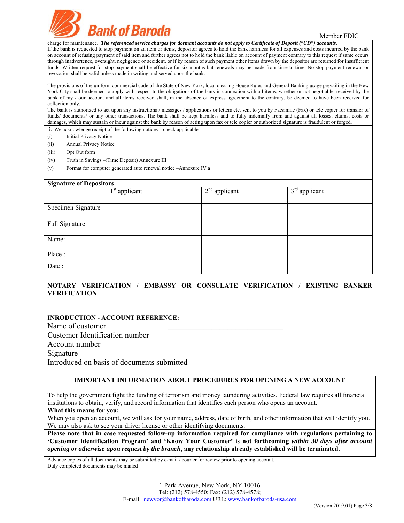

charge for maintenance. *The referenced service charges for dormant accounts do not apply to Certificate of Deposit ("CD") accounts.* If the bank is requested to stop payment on an item or items, depositor agrees to hold the bank harmless for all expenses and costs incurred by the bank on account of refusing payment of said item and further agrees not to hold the bank liable on account of payment contrary to this request if same occurs through inadvertence, oversight, negligence or accident, or if by reason of such payment other items drawn by the depositor are returned for insufficient funds. Written request for stop payment shall be effective for six months but renewals may be made from time to time. No stop payment renewal or revocation shall be valid unless made in writing and served upon the bank.

The provisions of the uniform commercial code of the State of New York, local clearing House Rules and General Banking usage prevailing in the New York City shall be deemed to apply with respect to the obligations of the bank in connection with all items, whether or not negotiable, received by the bank of my / our account and all items received shall, in the absence of express agreement to the contrary, be deemed to have been received for collection only.

The bank is authorized to act upon any instructions / messages / applications or letters etc. sent to you by Facsimile (Fax) or tele copier for transfer of funds/ documents/ or any other transactions. The bank shall be kept harmless and to fully indemnify from and against all losses, claims, costs or damages, which may sustain or incur against the bank by reason of acting upon fax or tele copier or authorized signature is fraudulent or forged.

3. We acknowledge receipt of the following notices – check applicable

| (i)   | <b>Initial Privacy Notice</b>                                    |  |
|-------|------------------------------------------------------------------|--|
| (ii)  | <b>Annual Privacy Notice</b>                                     |  |
| (iii) | Opt Out form                                                     |  |
| (iv)  | Truth in Savings – (Time Deposit) Annexure III                   |  |
| (v)   | Format for computer generated auto renewal notice -Annexure IV a |  |
|       |                                                                  |  |

| <b>Signature of Depositors</b> |                 |                 |                 |  |  |  |  |  |
|--------------------------------|-----------------|-----------------|-----------------|--|--|--|--|--|
|                                | $1st$ applicant | $2nd$ applicant | $3rd$ applicant |  |  |  |  |  |
| Specimen Signature             |                 |                 |                 |  |  |  |  |  |
| Full Signature                 |                 |                 |                 |  |  |  |  |  |
| Name:                          |                 |                 |                 |  |  |  |  |  |
| Place:                         |                 |                 |                 |  |  |  |  |  |
| Date:                          |                 |                 |                 |  |  |  |  |  |

# **NOTARY VERIFICATION / EMBASSY OR CONSULATE VERIFICATION / EXISTING BANKER VERIFICATION**

# **INRODUCTION - ACCOUNT REFERENCE:**

Name of customer Customer Identification number Account number Signature Introduced on basis of documents submitted

**IMPORTANT INFORMATION ABOUT PROCEDURES FOR OPENING A NEW ACCOUNT**

To help the government fight the funding of terrorism and money laundering activities, Federal law requires all financial institutions to obtain, verify, and record information that identifies each person who opens an account. **What this means for you:** 

When you open an account, we will ask for your name, address, date of birth, and other information that will identify you. We may also ask to see your driver license or other identifying documents.

**Please note that in case requested follow-up information required for compliance with regulations pertaining to 'Customer Identification Program' and 'Know Your Customer' is not forthcoming** *within 30 days after account opening or otherwise upon request by the branch***, any relationship already established will be terminated.** 

Advance copies of all documents may be submitted by e-mail / courier for review prior to opening account. Duly completed documents may be mailed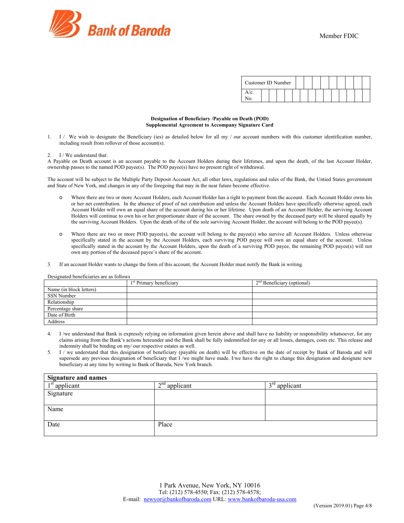

| Customer ID Number |  |  |  |  |  |  |  |
|--------------------|--|--|--|--|--|--|--|
| /c                 |  |  |  |  |  |  |  |

#### **Designation of Beneficiary /Payable on Death (POD) Supplemental Agreement to Accompany Signature Card**

1. I / We wish to designate the Beneficiary (ies) as detailed below for all my / our account numbers with this customer identification number, including result from rollover of those account(s).

#### 2. I / We understand that:

A Payable on Death account is an account payable to the Account Holders during their lifetimes, and upon the death, of the last Account Holder, ownership passes to the named POD payee(s). The POD payee(s) have no present right of withdrawal.

The account will be subject to the Multiple Party Deposit Account Act, all other laws, regulations and rules of the Bank, the Untied States government and State of New York, and changes in any of the foregoing that may in the near future become effective.

- o Where there are two or more Account Holders, each Account Holder has a right to payment from the account. Each Account Holder owns his or her net contribution. In the absence of proof of net contribution and unless the Account Holders have specifically otherwise agreed, each Account Holder will own an equal share of the account during his or her lifetime. Upon death of an Account Holder, the surviving Account Holders will continue to own his or her proportionate share of the account. The share owned by the deceased party will be shared equally by the surviving Account Holders. Upon the death of the of the sole surviving Account Holder, the account will belong to the POD payee(s).
- o Where there are two or more POD payee(s), the account will belong to the payee(s) who survive all Account Holders. Unless otherwise specifically stated in the account by the Account Holders, each surviving POD payee will own an equal share of the account. Unless specifically stated in the account by the Account Holders, upon the death of a surviving POD payee, the remaining POD payee(s) will not own any portion of the deceased payee's share of the account.
- 3. If an account Holder wants to change the form of this account, the Account Holder must notify the Bank in writing.

|                         | 1 <sup>st</sup> Primary beneficiary | $2nd$ Beneficiary (optional) |
|-------------------------|-------------------------------------|------------------------------|
| Name (in block letters) |                                     |                              |
| SSN Number              |                                     |                              |
| Relationship            |                                     |                              |
| Percentage share        |                                     |                              |
| Date of Birth           |                                     |                              |
| Address                 |                                     |                              |

Designated beneficiaries are as follows

- 4. I /we understand that Bank is expressly relying on information given herein above and shall have no liability or responsibility whatsoever, for any claims arising from the Bank's actions hereunder and the Bank shall be fully indemnified for any or all losses, damages, costs etc. This release and indemnity shall be binding on my/ our respective estates as well.
- 5. I / we understand that this designation of beneficiary (payable on death) will be effective on the date of receipt by Bank of Baroda and will supersede any previous designation of beneficiary that I /we might have made. I/we have the right to change this designation and designate new beneficiary at any time by writing to Bank of Baroda, New York branch.

| <b>Signature and names</b> |                 |                 |  |
|----------------------------|-----------------|-----------------|--|
| $1st$ applicant            | $2nd$ applicant | $3rd$ applicant |  |
| Signature                  |                 |                 |  |
|                            |                 |                 |  |
| Name                       |                 |                 |  |
|                            |                 |                 |  |
| Date                       | Place           |                 |  |
|                            |                 |                 |  |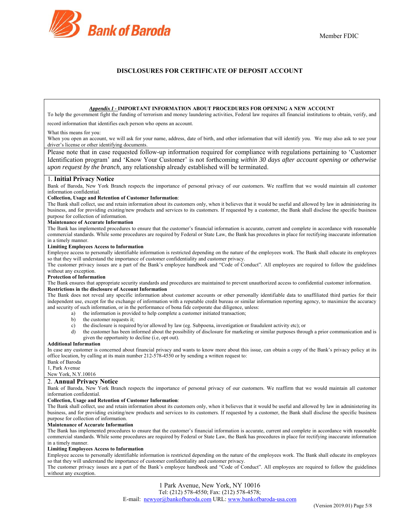

# **DISCLOSURES FOR CERTIFICATE OF DEPOSIT ACCOUNT**

# *Appendix I -* **IMPORTANT INFORMATION ABOUT PROCEDURES FOR OPENING A NEW ACCOUNT**

To help the government fight the funding of terrorism and money laundering activities, Federal law requires all financial institutions to obtain, verify, and

record information that identifies each person who opens an account.

#### What this means for you:

When you open an account, we will ask for your name, address, date of birth, and other information that will identify you. We may also ask to see your driver's license or other identifying documents.

Please note that in case requested follow-up information required for compliance with regulations pertaining to 'Customer Identification program' and 'Know Your Customer' is not forthcoming *within 30 days after account opening or otherwise upon request by the branch*, any relationship already established will be terminated.

#### 1. **Initial Privacy Notice**

Bank of Baroda, New York Branch respects the importance of personal privacy of our customers. We reaffirm that we would maintain all customer information confidential.

#### **Collection, Usage and Retention of Customer Information**:

The Bank shall collect, use and retain information about its customers only, when it believes that it would be useful and allowed by law in administering its business, and for providing existing/new products and services to its customers. If requested by a customer, the Bank shall disclose the specific business purpose for collection of information.

#### **Maintenance of Accurate Information**

The Bank has implemented procedures to ensure that the customer's financial information is accurate, current and complete in accordance with reasonable commercial standards. While some procedures are required by Federal or State Law, the Bank has procedures in place for rectifying inaccurate information in a timely manner.

### **Limiting Employees Access to Information**

Employee access to personally identifiable information is restricted depending on the nature of the employees work. The Bank shall educate its employees so that they will understand the importance of customer confidentiality and customer privacy.

The customer privacy issues are a part of the Bank's employee handbook and "Code of Conduct". All employees are required to follow the guidelines without any exception.

#### **Protection of Information**

The Bank ensures that appropriate security standards and procedures are maintained to prevent unauthorized access to confidential customer information. **Restrictions in the disclosure of Account Information** 

The Bank does not reveal any specific information about customer accounts or other personally identifiable data to unaffiliated third parties for their independent use, except for the exchange of information with a reputable credit bureau or similar information reporting agency, to maximize the accuracy and security of such information, or in the performance of bona fide corporate due diligence, unless:

- a) the information is provided to help complete a customer initiated transaction;
	- b) the customer requests it;
	- c) the disclosure is required by/or allowed by law (eg. Subpoena, investigation or fraudulent activity etc); or
- d) the customer has been informed about the possibility of disclosure for marketing or similar purposes through a prior communication and is given the opportunity to decline (i.e, opt out).

#### **Additional Information**

In case any customer is concerned about financial privacy and wants to know more about this issue, can obtain a copy of the Bank's privacy policy at its office location, by calling at its main number 212-578-4550 or by sending a written request to:

Bank of Baroda

1, Park Avenue

### New York, N.Y.10016

### 2. **Annual Privacy Notice**

Bank of Baroda, New York Branch respects the importance of personal privacy of our customers. We reaffirm that we would maintain all customer information confidential.

#### **Collection, Usage and Retention of Customer Information**:

The Bank shall collect, use and retain information about its customers only, when it believes that it would be useful and allowed by law in administering its business, and for providing existing/new products and services to its customers. If requested by a customer, the Bank shall disclose the specific business purpose for collection of information.

#### **Maintenance of Accurate Information**

The Bank has implemented procedures to ensure that the customer's financial information is accurate, current and complete in accordance with reasonable commercial standards. While some procedures are required by Federal or State Law, the Bank has procedures in place for rectifying inaccurate information in a timely manner.

### **Limiting Employees Access to Information**

Employee access to personally identifiable information is restricted depending on the nature of the employees work. The Bank shall educate its employees so that they will understand the importance of customer confidentiality and customer privacy.

The customer privacy issues are a part of the Bank's employee handbook and "Code of Conduct". All employees are required to follow the guidelines without any exception.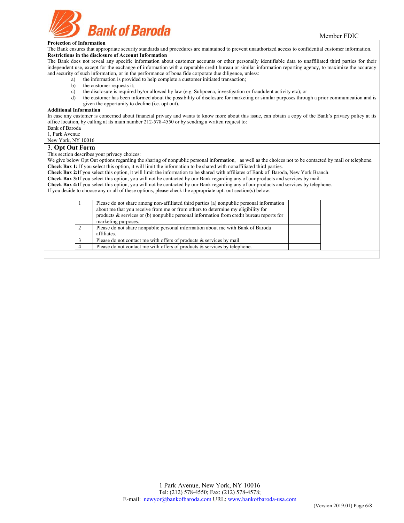

### **Protection of Information**

The Bank ensures that appropriate security standards and procedures are maintained to prevent unauthorized access to confidential customer information. **Restrictions in the disclosure of Account Information** 

The Bank does not reveal any specific information about customer accounts or other personally identifiable data to unaffiliated third parties for their independent use, except for the exchange of information with a reputable credit bureau or similar information reporting agency, to maximize the accuracy and security of such information, or in the performance of bona fide corporate due diligence, unless:

- a) the information is provided to help complete a customer initiated transaction;
- b) the customer requests it;
- c) the disclosure is required by/or allowed by law (e.g. Subpoena, investigation or fraudulent activity etc); or
- d) the customer has been informed about the possibility of disclosure for marketing or similar purposes through a prior communication and is given the opportunity to decline (i.e. opt out).

#### **Additional Information**

In case any customer is concerned about financial privacy and wants to know more about this issue, can obtain a copy of the Bank's privacy policy at its office location, by calling at its main number 212-578-4550 or by sending a written request to:

### Bank of Baroda

1, Park Avenue

#### New York, NY 10016 3. **Opt Out Form**

This section describes your privacy choices:

We give below Opt Out options regarding the sharing of nonpublic personal information, as well as the choices not to be contacted by mail or telephone. **Check Box 1:** If you select this option, it will limit the information to be shared with nonaffiliated third parties.

**Check Box 2:**If you select this option, it will limit the information to be shared with affiliates of Bank of Baroda, New York Branch.

**Check Box 3:**If you select this option, you will not be contacted by our Bank regarding any of our products and services by mail.

**Check Box 4:**If you select this option, you will not be contacted by our Bank regarding any of our products and services by telephone.

If you decide to choose any or all of these options, please check the appropriate opt- out section(s) below.

| Please do not share among non-affiliated third parties (a) nonpublic personal information<br>about me that you receive from me or from others to determine my eligibility for<br>products $\&$ services or (b) nonpublic personal information from credit bureau reports for<br>marketing purposes. |  |
|-----------------------------------------------------------------------------------------------------------------------------------------------------------------------------------------------------------------------------------------------------------------------------------------------------|--|
| Please do not share nonpublic personal information about me with Bank of Baroda                                                                                                                                                                                                                     |  |
| affiliates.                                                                                                                                                                                                                                                                                         |  |
| Please do not contact me with offers of products $\&$ services by mail.                                                                                                                                                                                                                             |  |
| Please do not contact me with offers of products $\&$ services by telephone.                                                                                                                                                                                                                        |  |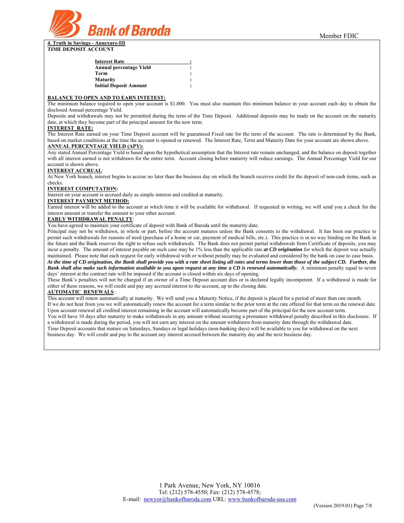

**4. Truth in Savings - Annexure-III TIME DEPOSIT ACCOUNT** 

#### **BALANCE TO OPEN AND TO EARN INTETEST:**

The minimum balance required to open your account is \$1,000. You must also maintain this minimum balance in your account each day to obtain the disclosed Annual percentage Yield.

Deposits and withdrawals may not be permitted during the term of the Time Deposit. Additional deposits may be made on the account on the maturity date, at which they become part of the principal amount for the new term.

#### **INTEREST RATE:**

The Interest Rate earned on your Time Deposit account will be guaranteed Fixed rate for the term of the account. The rate is determined by the Bank, based on market conditions at the time the account is opened or renewed. The Interest Rate, Term and Maturity Date for your account are shown above. **ANNUAL PERCENTAGE YIELD (APY):**

Any stated Annual Percentage Yield is based upon the hypothetical assumption that the Interest rate remain unchanged, and the balance on deposit together with all interest earned is not withdrawn for the entire term. Account closing before maturity will reduce earnings. The Annual Percentage Yield for our account is shown above.

# **INTEREST ACCRUAL**:

At New York branch, interest begins to accrue no later than the business day on which the branch receives credit for the deposit of non-cash items, such as checks.

#### **INTEREST COMPUTATION:**

Interest on your account is accrued daily as simple interest and credited at maturity.

### **INTEREST PAYMENT METHOD:**

Earned interest will be added to the account at which time it will be available for withdrawal. If requested in writing, we will send you a check for the interest amount or transfer the amount to your other account.

#### **EARLY WITHDRAWAL PENALTY**:

You have agreed to maintain your certificate of deposit with Bank of Baroda until the maturity date.

Principal may not be withdrawn, in whole or part, before the account matures unless the Bank consents to the withdrawal. It has been our practice to permit such withdrawals for reasons of need (purchase of a home or car, payment of medical bills, etc.). This practice is in no way binding on the Bank in the future and the Bank reserves the right to refuse such withdrawals. The Bank does not permit partial withdrawals from Certificate of deposits, you may incur a penalty. The amount of interest payable on such case may be 1% less than the applicable rate *at CD origination* for which the deposit was actually maintained. Please note that each request for early withdrawal with or without penalty may be evaluated and considered by the bank on case to case basis. *At the time of CD origination, the Bank shall provide you with a rate sheet listing all rates and terms lower than those of the subject CD. Further, the Bank shall also make such information available to you upon request at any time a CD is renewed automatically.* A minimum penalty equal to seven days' interest at the contract rate will be imposed if the account is closed within six days of opening.

These Bank's penalties will not be charged if an owner of a Time Deposit account dies or is declared legally incompetent. If a withdrawal is made for either of these reasons, we will credit and pay any accrued interest to the account, up to the closing date.

# **AUTOMATIC RENEWALS** :

This account will renew automatically at maturity. We will send you a Maturity Notice, if the deposit is placed for a period of more than one month. If we do not hear from you we will automatically renew the account for a term similar to the prior term at the rate offered for that term on the renewal date. Upon account renewal all credited interest remaining in the account will automatically become part of the principal for the new account term. You will have 10 days after maturity to make withdrawals in any amount without incurring a premature withdrawal penalty described in this disclosure. If a withdrawal is made during the period, you will not earn any interest on the amount withdrawn from maturity date through the withdrawal date. Time Deposit accounts that mature on Saturdays, Sundays or legal holidays (non-banking days) will be available to you for withdrawal on the next business day. We will credit and pay to the account any interest accrued between the maturity day and the next business day.